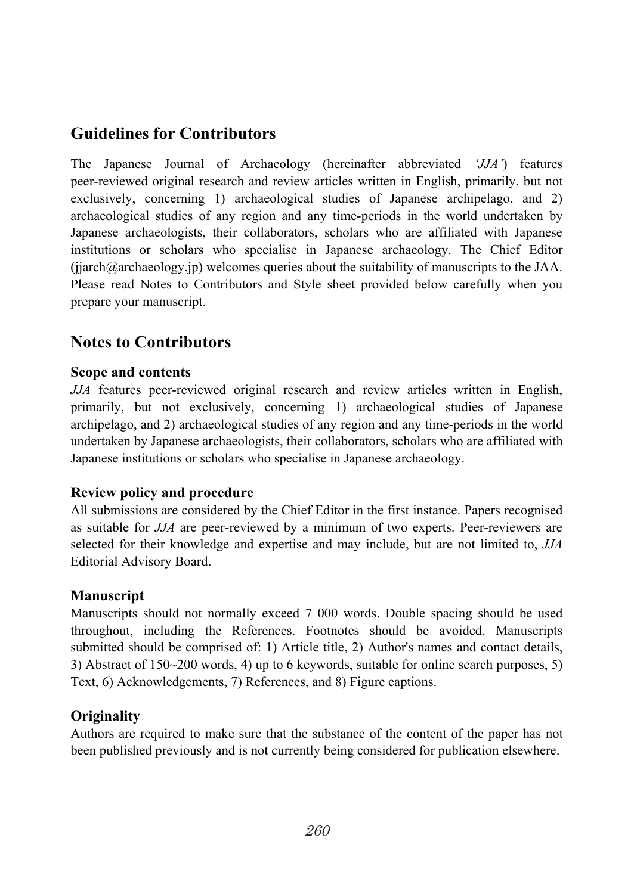# **Guidelines for Contributors**

The Japanese Journal of Archaeology (hereinafter abbreviated *'JJA'*) features peer-reviewed original research and review articles written in English, primarily, but not exclusively, concerning 1) archaeological studies of Japanese archipelago, and 2) archaeological studies of any region and any time-periods in the world undertaken by Japanese archaeologists, their collaborators, scholars who are affiliated with Japanese institutions or scholars who specialise in Japanese archaeology. The Chief Editor  $(jijarch@archaeology.jp)$  welcomes queries about the suitability of manuscripts to the JAA. Please read Notes to Contributors and Style sheet provided below carefully when you prepare your manuscript.

# **Notes to Contributors**

### **Scope and contents**

*JJA* features peer-reviewed original research and review articles written in English, primarily, but not exclusively, concerning 1) archaeological studies of Japanese archipelago, and 2) archaeological studies of any region and any time-periods in the world undertaken by Japanese archaeologists, their collaborators, scholars who are affiliated with Japanese institutions or scholars who specialise in Japanese archaeology.

### **Review policy and procedure**

All submissions are considered by the Chief Editor in the first instance. Papers recognised as suitable for *JJA* are peer-reviewed by a minimum of two experts. Peer-reviewers are selected for their knowledge and expertise and may include, but are not limited to, *JJA*  Editorial Advisory Board.

### **Manuscript**

Manuscripts should not normally exceed 7 000 words. Double spacing should be used throughout, including the References. Footnotes should be avoided. Manuscripts submitted should be comprised of: 1) Article title, 2) Author's names and contact details, 3) Abstract of 150~200 words, 4) up to 6 keywords, suitable for online search purposes, 5) Text, 6) Acknowledgements, 7) References, and 8) Figure captions.

### **Originality**

Authors are required to make sure that the substance of the content of the paper has not been published previously and is not currently being considered for publication elsewhere.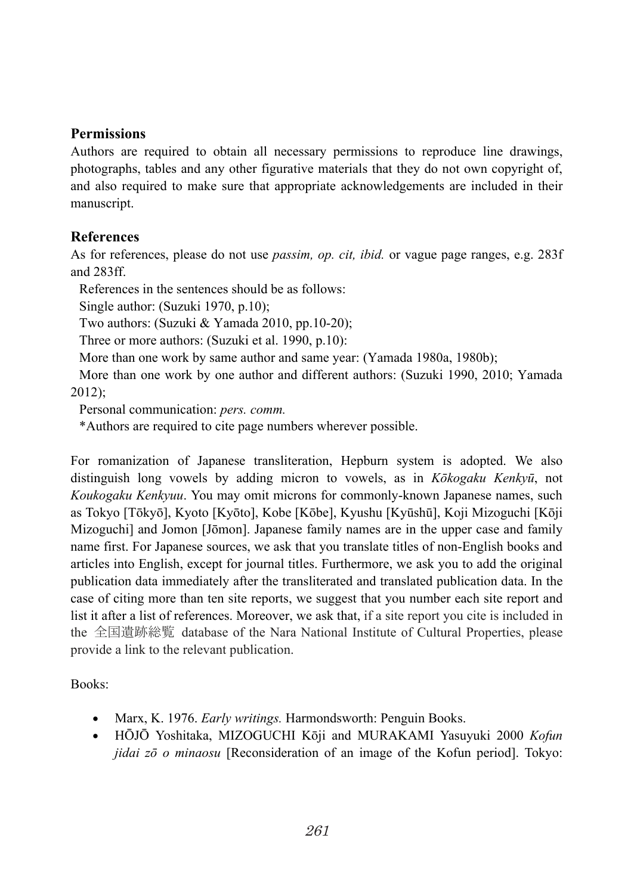#### **Permissions**

Authors are required to obtain all necessary permissions to reproduce line drawings, photographs, tables and any other figurative materials that they do not own copyright of, and also required to make sure that appropriate acknowledgements are included in their manuscript.

### **References**

As for references, please do not use *passim, op. cit, ibid.* or vague page ranges, e.g. 283f and 283ff.

References in the sentences should be as follows:

Single author: (Suzuki 1970, p.10);

Two authors: (Suzuki & Yamada 2010, pp.10-20);

Three or more authors: (Suzuki et al. 1990, p.10):

More than one work by same author and same year: (Yamada 1980a, 1980b);

More than one work by one author and different authors: (Suzuki 1990, 2010; Yamada 2012);

Personal communication: *pers. comm.*

\*Authors are required to cite page numbers wherever possible.

For romanization of Japanese transliteration, Hepburn system is adopted. We also distinguish long vowels by adding micron to vowels, as in *Kōkogaku Kenkyū*, not *Koukogaku Kenkyuu*. You may omit microns for commonly-known Japanese names, such as Tokyo [Tōkyō], Kyoto [Kyōto], Kobe [Kōbe], Kyushu [Kyūshū], Koji Mizoguchi [Kōji Mizoguchi] and Jomon [Jōmon]. Japanese family names are in the upper case and family name first. For Japanese sources, we ask that you translate titles of non-English books and articles into English, except for journal titles. Furthermore, we ask you to add the original publication data immediately after the transliterated and translated publication data. In the case of citing more than ten site reports, we suggest that you number each site report and list it after a list of references. Moreover, we ask that, if a site report you cite is included in the 全国遺跡総覧 database of the Nara National Institute of Cultural Properties, please provide a link to the relevant publication.

Books:

- Marx, K. 1976. *Early writings.* Harmondsworth: Penguin Books.
- HŌJŌ Yoshitaka, MIZOGUCHI Kōji and MURAKAMI Yasuyuki 2000 *Kofun jidai zō o minaosu* [Reconsideration of an image of the Kofun period]. Tokyo: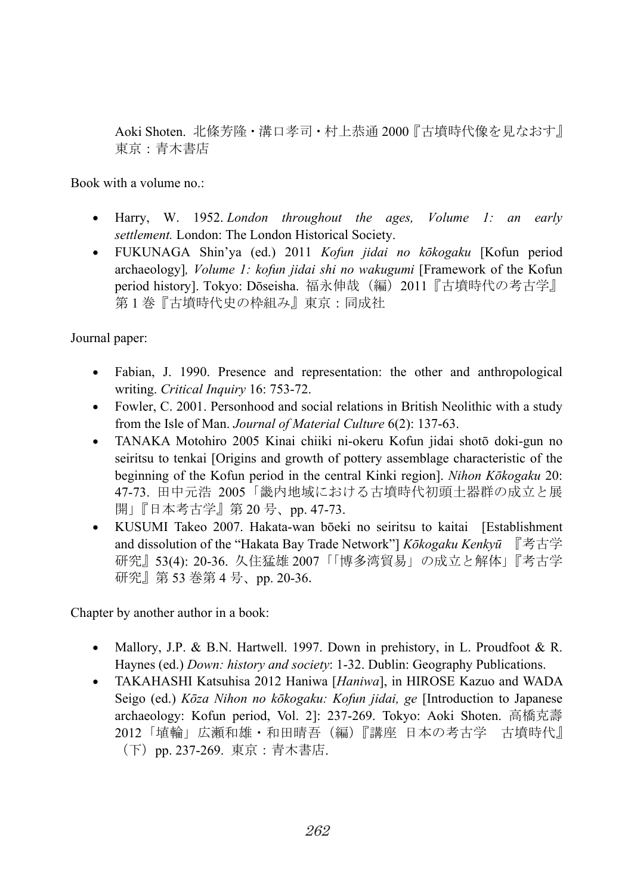Aoki Shoten. 北條芳隆・溝口孝司・村上恭通 2000『古墳時代像を見なおす』 東京:青木書店

Book with a volume no.:

- Harry, W. 1952. *London throughout the ages, Volume 1: an early settlement.* London: The London Historical Society.
- FUKUNAGA Shin'ya (ed.) 2011 *Kofun jidai no kōkogaku* [Kofun period archaeology]*, Volume 1: kofun jidai shi no wakugumi* [Framework of the Kofun period history]. Tokyo: Dōseisha. 福永伸哉(編) 2011『古墳時代の考古学』 第 1 巻『古墳時代史の枠組み』東京:同成社

Journal paper:

- Fabian, J. 1990. Presence and representation: the other and anthropological writing. *Critical Inquiry* 16: 753-72.
- Fowler, C. 2001. Personhood and social relations in British Neolithic with a study from the Isle of Man. *Journal of Material Culture* 6(2): 137-63.
- TANAKA Motohiro 2005 Kinai chiiki ni-okeru Kofun jidai shotō doki-gun no seiritsu to tenkai [Origins and growth of pottery assemblage characteristic of the beginning of the Kofun period in the central Kinki region]. *Nihon Kōkogaku* 20: 47-73. 田中元浩 2005「畿内地域における古墳時代初頭土器群の成立と展 開| 『日本考古学』第 20 号、pp. 47-73.
- KUSUMI Takeo 2007. Hakata-wan bōeki no seiritsu to kaitai [Establishment and dissolution of the "Hakata Bay Trade Network"] *Kōkogaku Kenkyū* 『考古学 研究』53(4): 20-36. 久住猛雄 2007「「博多湾貿易」の成立と解体」『考古学 研究』第 53 巻第 4 号、pp. 20-36.

Chapter by another author in a book:

- Mallory, J.P. & B.N. Hartwell. 1997. Down in prehistory, in L. Proudfoot & R. Haynes (ed.) *Down: history and society*: 1-32. Dublin: Geography Publications.
- TAKAHASHI Katsuhisa 2012 Haniwa [*Haniwa*], in HIROSE Kazuo and WADA Seigo (ed.) *Kōza Nihon no kōkogaku: Kofun jidai, ge* [Introduction to Japanese archaeology: Kofun period, Vol. 2]: 237-269. Tokyo: Aoki Shoten. 高橋克壽 2012「埴輪」広瀬和雄・和田晴吾(編)『講座 日本の考古学 古墳時代』 (下)pp. 237-269. 東京:青木書店.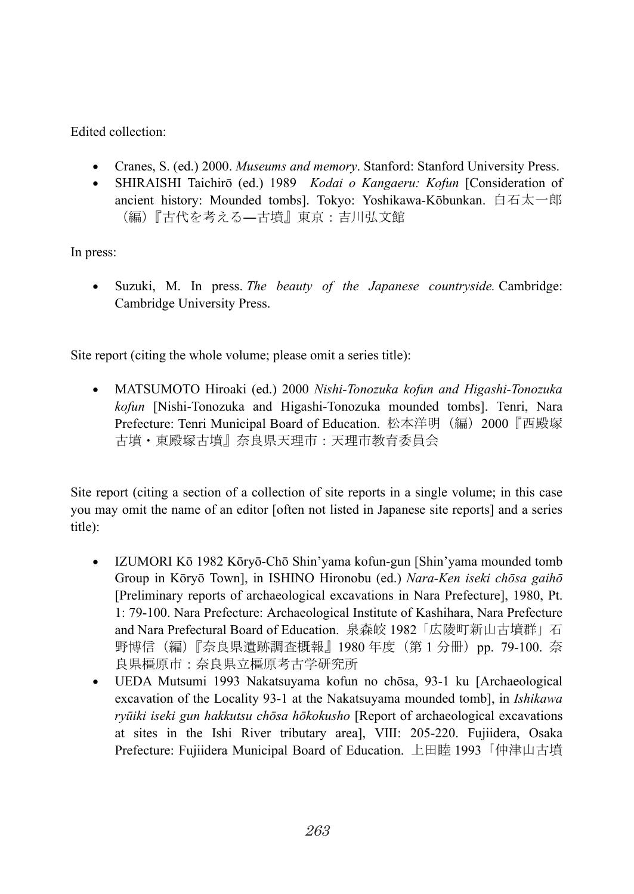Edited collection:

- Cranes, S. (ed.) 2000. *Museums and memory*. Stanford: Stanford University Press.
- SHIRAISHI Taichirō (ed.) 1989 *Kodai o Kangaeru: Kofun* [Consideration of ancient history: Mounded tombs]. Tokyo: Yoshikawa-Kōbunkan. 白石太一郎 (編)『古代を考える―古墳』東京:吉川弘文館

In press:

• Suzuki, M. In press. *The beauty of the Japanese countryside.* Cambridge: Cambridge University Press.

Site report (citing the whole volume; please omit a series title):

• MATSUMOTO Hiroaki (ed.) 2000 *Nishi-Tonozuka kofun and Higashi-Tonozuka kofun* [Nishi-Tonozuka and Higashi-Tonozuka mounded tombs]. Tenri, Nara Prefecture: Tenri Municipal Board of Education. 松本洋明(編)2000『西殿塚 古墳・東殿塚古墳』奈良県天理市:天理市教育委員会

Site report (citing a section of a collection of site reports in a single volume; in this case you may omit the name of an editor [often not listed in Japanese site reports] and a series title):

- IZUMORI Kō 1982 Kōryō-Chō Shin'yama kofun-gun [Shin'yama mounded tomb Group in Kōryō Town], in ISHINO Hironobu (ed.) *Nara-Ken iseki chōsa gaihō* [Preliminary reports of archaeological excavations in Nara Prefecture], 1980, Pt. 1: 79-100. Nara Prefecture: Archaeological Institute of Kashihara, Nara Prefecture and Nara Prefectural Board of Education. 泉森皎 1982「広陵町新山古墳群」石 野博信(編)『奈良県遺跡調査概報』1980年度(第1分冊)pp. 79-100. 奈 良県橿原市:奈良県立橿原考古学研究所
- UEDA Mutsumi 1993 Nakatsuyama kofun no chōsa, 93-1 ku [Archaeological excavation of the Locality 93-1 at the Nakatsuyama mounded tomb], in *Ishikawa ryūiki iseki gun hakkutsu chōsa hōkokusho* [Report of archaeological excavations at sites in the Ishi River tributary area], Ⅷ: 205-220. Fujiidera, Osaka Prefecture: Fujiidera Municipal Board of Education. 上田睦 1993「仲津山古墳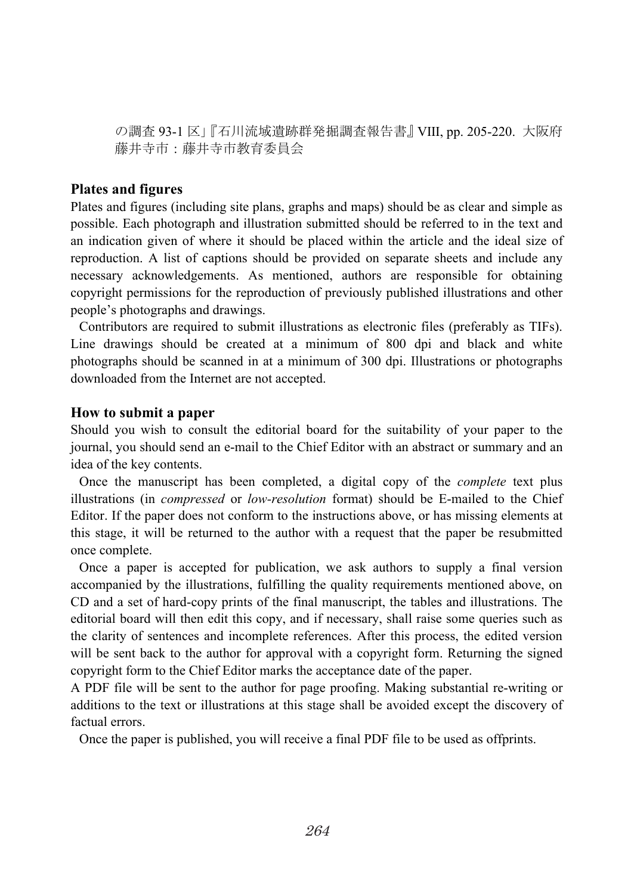の調査 93-1 区」『石川流域遺跡群発掘調査報告書』Ⅷ, pp. 205-220. 大阪府 藤井寺市:藤井寺市教育委員会

#### **Plates and figures**

Plates and figures (including site plans, graphs and maps) should be as clear and simple as possible. Each photograph and illustration submitted should be referred to in the text and an indication given of where it should be placed within the article and the ideal size of reproduction. A list of captions should be provided on separate sheets and include any necessary acknowledgements. As mentioned, authors are responsible for obtaining copyright permissions for the reproduction of previously published illustrations and other people's photographs and drawings.

Contributors are required to submit illustrations as electronic files (preferably as TIFs). Line drawings should be created at a minimum of 800 dpi and black and white photographs should be scanned in at a minimum of 300 dpi. Illustrations or photographs downloaded from the Internet are not accepted.

#### **How to submit a paper**

Should you wish to consult the editorial board for the suitability of your paper to the journal, you should send an e-mail to the Chief Editor with an abstract or summary and an idea of the key contents.

Once the manuscript has been completed, a digital copy of the *complete* text plus illustrations (in *compressed* or *low-resolution* format) should be E-mailed to the Chief Editor. If the paper does not conform to the instructions above, or has missing elements at this stage, it will be returned to the author with a request that the paper be resubmitted once complete.

Once a paper is accepted for publication, we ask authors to supply a final version accompanied by the illustrations, fulfilling the quality requirements mentioned above, on CD and a set of hard-copy prints of the final manuscript, the tables and illustrations. The editorial board will then edit this copy, and if necessary, shall raise some queries such as the clarity of sentences and incomplete references. After this process, the edited version will be sent back to the author for approval with a copyright form. Returning the signed copyright form to the Chief Editor marks the acceptance date of the paper.

A PDF file will be sent to the author for page proofing. Making substantial re-writing or additions to the text or illustrations at this stage shall be avoided except the discovery of factual errors.

Once the paper is published, you will receive a final PDF file to be used as offprints.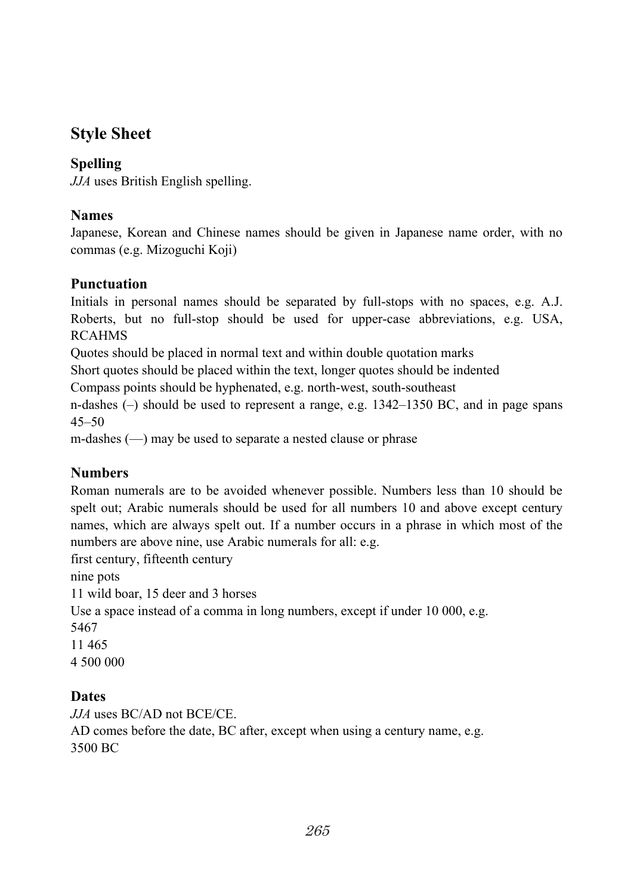# **Style Sheet**

# **Spelling**

*JJA* uses British English spelling.

### **Names**

Japanese, Korean and Chinese names should be given in Japanese name order, with no commas (e.g. Mizoguchi Koji)

### **Punctuation**

Initials in personal names should be separated by full-stops with no spaces, e.g. A.J. Roberts, but no full-stop should be used for upper-case abbreviations, e.g. USA, RCAHMS

Quotes should be placed in normal text and within double quotation marks

Short quotes should be placed within the text, longer quotes should be indented

Compass points should be hyphenated, e.g. north-west, south-southeast

n-dashes (–) should be used to represent a range, e.g. 1342–1350 BC, and in page spans  $45 - 50$ 

m-dashes (—) may be used to separate a nested clause or phrase

# **Numbers**

Roman numerals are to be avoided whenever possible. Numbers less than 10 should be spelt out; Arabic numerals should be used for all numbers 10 and above except century names, which are always spelt out. If a number occurs in a phrase in which most of the numbers are above nine, use Arabic numerals for all: e.g.

first century, fifteenth century

nine pots

11 wild boar, 15 deer and 3 horses

Use a space instead of a comma in long numbers, except if under 10 000, e.g.

5467

11 465

4 500 000

# **Dates**

*JJA* uses BC/AD not BCE/CE.

AD comes before the date, BC after, except when using a century name, e.g. 3500 BC